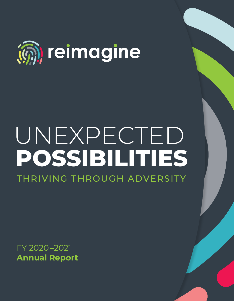

# UNEXPECTED **POSSIBILITIES** THRIVING THROUGH ADVERSITY

FY 2020–2021 **Annual Report**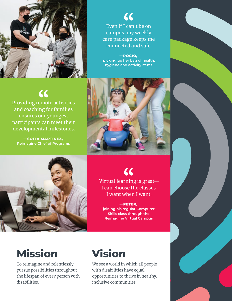

 $\boldsymbol{\mathcal{L}}$ Even if I can't be on campus, my weekly care package keeps me connected and safe.

**—ROCIO, picking up her bag of health, hygiene and activity items**

## $\epsilon$

Providing remote activities and coaching for families ensures our youngest participants can meet their developmental milestones.

**—SOFIA MARTINEZ, Reimagine Chief of Programs** 





66

Virtual learning is great— I can choose the classes I want when I want.

**—PETER, joining his regular Computer Skills class through the Reimagine Virtual Campus**

# **Mission**

To reimagine and relentlessly pursue possibilities throughout the lifespan of every person with disabilities.

## **Vision**

We see a world in which all people with disabilities have equal opportunities to thrive in healthy, inclusive communities.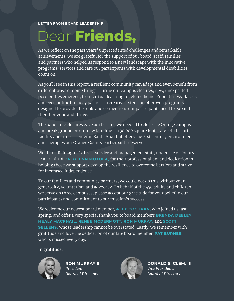# Dear **Friends,**

As we reflect on the past years' unprecedented challenges and remarkable achievements, we are grateful for the support of our board, staff, families and partners who helped us respond to a new landscape with the innovative programs, services and care our participants with developmental disabilities count on.

As you'll see in this report, a resilient community can adapt and even benefit from different ways of doing things. During our campus closures, new, unexpected possibilities emerged, from virtual learning to telemedicine, Zoom fitness classes and even online birthday parties—a creative extension of proven programs designed to provide the tools and connections our participants need to expand their horizons and thrive.

The pandemic closures gave us the time we needed to close the Orange campus and break ground on our new building—a 30,000 square foot state-of-the-art facility and fitness center in Santa Ana that offers the 21st century environment and therapies our Orange County participants deserve.

We thank Reimagine's direct service and management staff, under the visionary leadership of **DR. GLENN MOTOLA,** for their professionalism and dedication in helping those we support develop the resilience to overcome barriers and strive for increased independence.

To our families and community partners, we could not do this without your generosity, voluntarism and advocacy. On behalf of the 450 adults and children we serve on three campuses, please accept our gratitude for your belief in our participants and commitment to our mission's success.

We welcome our newest board member, **ALEX COCHRAN,** who joined us last spring, and offer a very special thank you to board members **BRENDA DEELEY, HEALY MACPHAIL, RENEE MCDERMOTT, RON MURRAY,** and **SCOTT SELLENS,** whose leadership cannot be overstated. Lastly, we remember with gratitude and love the dedication of our late board member, **PAT BURNES,** who is missed every day.

#### In gratitude,



**RON MURRAY II** *President, Board of Directors*



**DONALD S. CLEM, III** *Vice President, Board of Directors*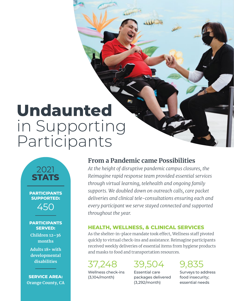# **Undaunted** in Supporting Participants

2021 **STATS**

**PARTICIPANTS SUPPORTED:**  450

#### **PARTICIPANTS SERVED:**

**Children 12–36 months** 

**Adults 18+ with developmental disabilities**

**SERVICE AREA: Orange County, CA** 

### **From a Pandemic came Possibilities**

*At the height of disruptive pandemic campus closures, the Reimagine rapid response team provided essential services through virtual learning, telehealth and ongoing family supports. We doubled down on outreach calls, care packet deliveries and clinical tele-consultations ensuring each and every participant we serve stayed connected and supported throughout the year.*

### **HEALTH, WELLNESS, & CLINICAL SERVICES**

As the shelter-in-place mandate took effect, Wellness staff pivoted quickly to virtual check-ins and assistance. Reimagine participants received weekly deliveries of essential items from hygiene products and masks to food and transportation resources.

### 37,248

Wellness check-ins (3,104/month)

### 39,504

Essential care packages delivered (3,292/month)

9,835

Surveys to address food insecurity; essential needs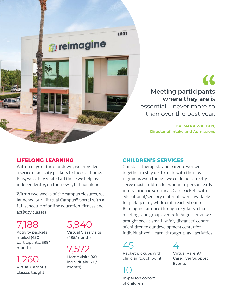

 $\epsilon$ **Meeting participants where they are** is

essential—never more so than over the past year.

> **—DR. MARK WALDEN, Director of Intake and Admissions**

### **LIFELONG LEARNING**

Within days of the shutdown, we provided a series of activity packets to those at home. Plus, we safely visited all those we help live independently, on their own, but not alone.

Within two weeks of the campus closures, we launched our "Virtual Campus" portal with a full schedule of online education, fitness and activity classes.

7,188

Activity packets mailed (450 participants; 599/ month)

1,260 Virtual Campus classes taught

### 5,940

Virtual Class visits (495/month)

7,572 Home visits (40 individuals; 631/ month)

#### **CHILDREN'S SERVICES**

Our staff, therapists and parents worked together to stay up-to-date with therapy regimens even though we could not directly serve most children for whom in-person, early intervention is so critical. Care packets with educational/sensory materials were available for pickup daily while staff reached out to Reimagine families through regular virtual meetings and group events. In August 2021, we brought back a small, safely distanced cohort of children to our development center for individualized "learn-through-play" activities.

# 45

Packet pickups with clinician touch point

 $\angle$ 

Virtual Parent/ Caregiver Support Events

10 In-person cohort of children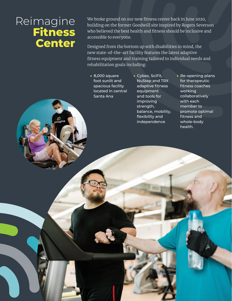## Reimagine **Fitness Center**

We broke ground on our new fitness center back in June 2020, building on the former Goodwill site inspired by Rogers Severson who believed the best health and fitness should be inclusive and accessible to everyone.

Designed from the bottom up with disabilities in mind, the new state-of-the-art facility features the latest adaptive fitness equipment and training tailored to individual needs and rehabilitation goals including:

- 8,000 square foot sunlit and spacious facility located in central Santa Ana
- Cybex, SciFit, NuStep and TRX adaptive fitness equipment and tools for improving strength, balance, mobility, flexibility and independence
- Re-opening plans for therapeutic fitness coaches working collaboratively with each member to promote optimal fitness and whole-body health.